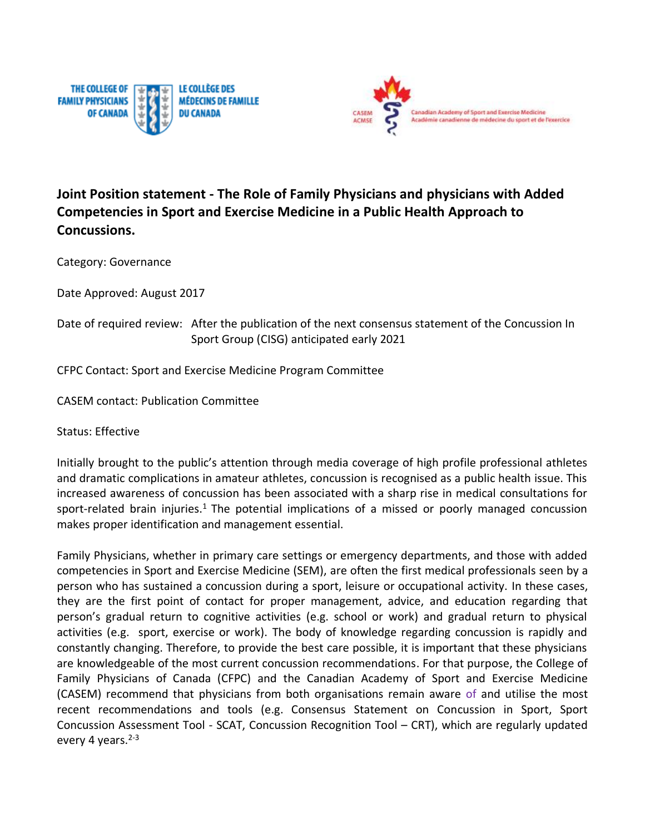



## **Joint Position statement - The Role of Family Physicians and physicians with Added Competencies in Sport and Exercise Medicine in a Public Health Approach to Concussions.**

Category: Governance

Date Approved: August 2017

## Date of required review: After the publication of the next consensus statement of the Concussion In Sport Group (CISG) anticipated early 2021

CFPC Contact: Sport and Exercise Medicine Program Committee

CASEM contact: Publication Committee

Status: Effective

Initially brought to the public's attention through media coverage of high profile professional athletes and dramatic complications in amateur athletes, concussion is recognised as a public health issue. This increased awareness of concussion has been associated with a sharp rise in medical consultations for sport-related brain injuries.<sup>1</sup> The potential implications of a missed or poorly managed concussion makes proper identification and management essential.

Family Physicians, whether in primary care settings or emergency departments, and those with added competencies in Sport and Exercise Medicine (SEM), are often the first medical professionals seen by a person who has sustained a concussion during a sport, leisure or occupational activity. In these cases, they are the first point of contact for proper management, advice, and education regarding that person's gradual return to cognitive activities (e.g. school or work) and gradual return to physical activities (e.g. sport, exercise or work). The body of knowledge regarding concussion is rapidly and constantly changing. Therefore, to provide the best care possible, it is important that these physicians are knowledgeable of the most current concussion recommendations. For that purpose, the College of Family Physicians of Canada (CFPC) and the Canadian Academy of Sport and Exercise Medicine (CASEM) recommend that physicians from both organisations remain aware of and utilise the most recent recommendations and tools (e.g. Consensus Statement on Concussion in Sport, Sport Concussion Assessment Tool - SCAT, Concussion Recognition Tool – CRT), which are regularly updated every 4 years. $2-3$